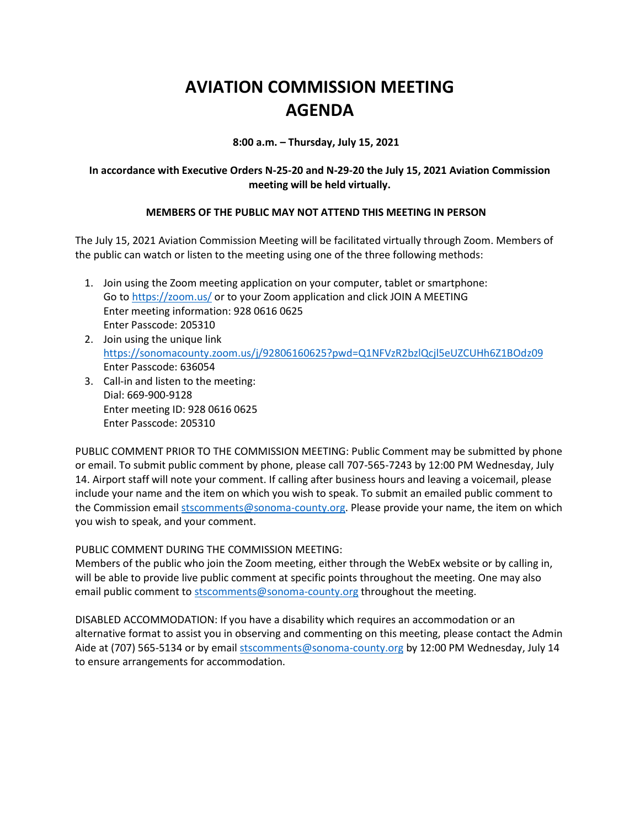## **AVIATION COMMISSION MEETING AGENDA**

**8:00 a.m. – Thursday, July 15, 2021**

## **In accordance with Executive Orders N-25-20 and N-29-20 the July 15, 2021 Aviation Commission meeting will be held virtually.**

## **MEMBERS OF THE PUBLIC MAY NOT ATTEND THIS MEETING IN PERSON**

The July 15, 2021 Aviation Commission Meeting will be facilitated virtually through Zoom. Members of the public can watch or listen to the meeting using one of the three following methods:

- 1. Join using the Zoom meeting application on your computer, tablet or smartphone: Go to<https://zoom.us/> or to your Zoom application and click JOIN A MEETING Enter meeting information: 928 0616 0625 Enter Passcode: 205310
- 2. Join using the unique link <https://sonomacounty.zoom.us/j/92806160625?pwd=Q1NFVzR2bzlQcjl5eUZCUHh6Z1BOdz09> Enter Passcode: 636054
- 3. Call-in and listen to the meeting: Dial: 669-900-9128 Enter meeting ID: 928 0616 0625 Enter Passcode: 205310

PUBLIC COMMENT PRIOR TO THE COMMISSION MEETING: Public Comment may be submitted by phone or email. To submit public comment by phone, please call 707-565-7243 by 12:00 PM Wednesday, July 14. Airport staff will note your comment. If calling after business hours and leaving a voicemail, please include your name and the item on which you wish to speak. To submit an emailed public comment to the Commission emai[l stscomments@sonoma-county.org.](mailto:stscomments@sonoma-county.org) Please provide your name, the item on which you wish to speak, and your comment.

PUBLIC COMMENT DURING THE COMMISSION MEETING:

Members of the public who join the Zoom meeting, either through the WebEx website or by calling in, will be able to provide live public comment at specific points throughout the meeting. One may also email public comment to [stscomments@sonoma-county.org](mailto:stscomments@sonoma-county.org) throughout the meeting.

DISABLED ACCOMMODATION: If you have a disability which requires an accommodation or an alternative format to assist you in observing and commenting on this meeting, please contact the Admin Aide at (707) 565-5134 or by emai[l stscomments@sonoma-county.org](mailto:stscomments@sonoma-county.org) by 12:00 PM Wednesday, July 14 to ensure arrangements for accommodation.